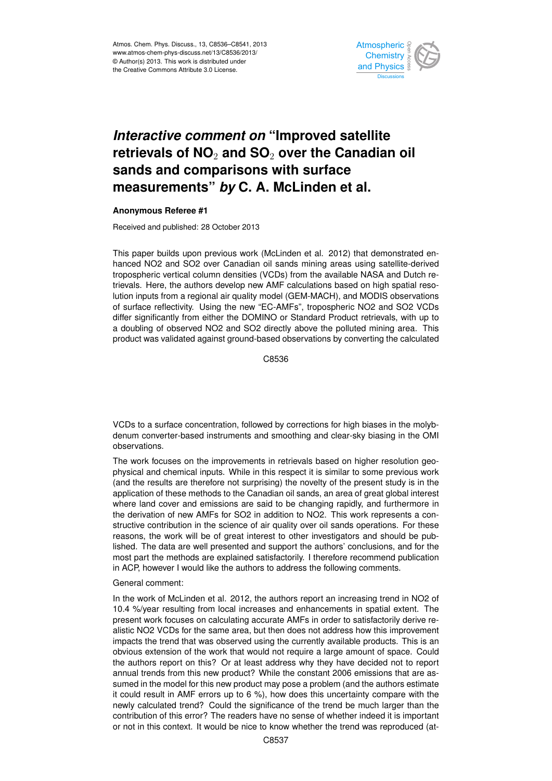

## *Interactive comment on "Improved satellite* ہ<br>),  $\mathbf{j}$ retrievals of NO<sub>2</sub> and SO<sub>2</sub> over the Canadian oil  $\sim$ measurements" *by* C. A. McLinden et al.  $\overline{\phantom{a}}$ **sands and comparisons with surface**

## **Anonymous Referee #1**

Received and published: 28 October 2013

hanced NO2 and SO2 over Canadian oil sands mining areas using satellite-derived Instrumentation<br>Instrumentation i derisities (1<br>. trievals. Here, the authors develop new AMF calculations based on high spatial resoil<br>A Instrumentation tropospheric vertical column densities (VCDs) from the available NASA and Dutch re-)<br>)<br>ti lution inputs from a regional air quality model (GEM-MACH), and MODIS observations differ significantly from either the DOMINO or Standard Product retrievals, with up to a doubling of observed NO2 and SO2 directly above the polluted mining area. This C<br>انا );<br>it<br>e of surface reflectivity. Using the new "EC-AMFs", tropospheric NO2 and SO2 VCDs This paper builds upon previous work (McLinden et al. 2012) that demonstrated enproduct was validated against ground-based observations by converting the calculated

> Hydrology and Earth System  $\mathfrak{S}$ C8536

l<br>İl T<br>ir VCDs to a surface concentration, followed by corrections for high biases in the molybdenum converter-based instruments and smoothing and clear-sky biasing in the OMI observations.

The work focuses on the improvements in retrievals based on higher resolution georefore not surprising) the novelty of the present study<br>hods to the Canadian oil sands, an area of great globa ii<br>d<br>id i<br>I<br>n application of these methods to the Canadian oil sands, an area of great global interest physical and chemical inputs. While in this respect it is similar to some previous work (and the results are therefore not surprising) the novelty of the present study is in the where land cover and emissions are said to be changing rapidly, and furthermore in the derivation of new AMFs for SO2 in addition to NO2. This work represents a constructive contribution in the science of air quality over oil sands operations. For these reasons, the work will be of great interest to other investigators and should be published. The data are well presented and support the authors' conclusions, and for the most part the methods are explained satisfactorily. I therefore recommend publication in ACP, however I would like the authors to address the following comments.

## General comment:

In the work of McLinden et al. 2012, the authors report an increasing trend in NO2 of 10.4 %/year resulting from local increases and enhancements in spatial extent. The present work focuses on calculating accurate AMFs in order to satisfactorily derive realistic NO2 VCDs for the same area, but then does not address how this improvement impacts the trend that was observed using the currently available products. This is an obvious extension of the work that would not require a large amount of space. Could the authors report on this? Or at least address why they have decided not to report annual trends from this new product? While the constant 2006 emissions that are assumed in the model for this new product may pose a problem (and the authors estimate it could result in AMF errors up to 6 %), how does this uncertainty compare with the newly calculated trend? Could the significance of the trend be much larger than the contribution of this error? The readers have no sense of whether indeed it is important or not in this context. It would be nice to know whether the trend was reproduced (at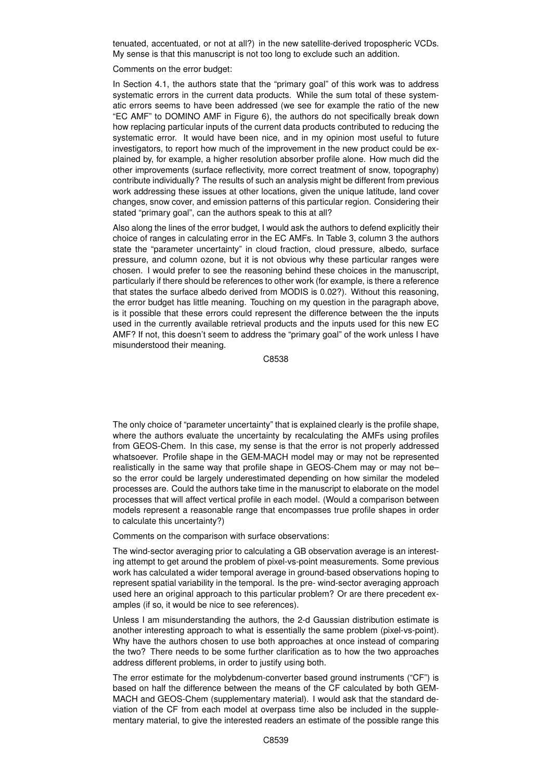tenuated, accentuated, or not at all?) in the new satellite-derived tropospheric VCDs. My sense is that this manuscript is not too long to exclude such an addition.

Comments on the error budget:

In Section 4.1, the authors state that the "primary goal" of this work was to address systematic errors in the current data products. While the sum total of these systematic errors seems to have been addressed (we see for example the ratio of the new "EC AMF" to DOMINO AMF in Figure 6), the authors do not specifically break down how replacing particular inputs of the current data products contributed to reducing the systematic error. It would have been nice, and in my opinion most useful to future investigators, to report how much of the improvement in the new product could be explained by, for example, a higher resolution absorber profile alone. How much did the other improvements (surface reflectivity, more correct treatment of snow, topography) contribute individually? The results of such an analysis might be different from previous work addressing these issues at other locations, given the unique latitude, land cover changes, snow cover, and emission patterns of this particular region. Considering their stated "primary goal", can the authors speak to this at all?

Also along the lines of the error budget, I would ask the authors to defend explicitly their choice of ranges in calculating error in the EC AMFs. In Table 3, column 3 the authors state the "parameter uncertainty" in cloud fraction, cloud pressure, albedo, surface pressure, and column ozone, but it is not obvious why these particular ranges were chosen. I would prefer to see the reasoning behind these choices in the manuscript, particularly if there should be references to other work (for example, is there a reference that states the surface albedo derived from MODIS is 0.02?). Without this reasoning, the error budget has little meaning. Touching on my question in the paragraph above, is it possible that these errors could represent the difference between the the inputs used in the currently available retrieval products and the inputs used for this new EC AMF? If not, this doesn't seem to address the "primary goal" of the work unless I have misunderstood their meaning.

C8538

The only choice of "parameter uncertainty" that is explained clearly is the profile shape, where the authors evaluate the uncertainty by recalculating the AMFs using profiles from GEOS-Chem. In this case, my sense is that the error is not properly addressed whatsoever. Profile shape in the GEM-MACH model may or may not be represented realistically in the same way that profile shape in GEOS-Chem may or may not be– so the error could be largely underestimated depending on how similar the modeled processes are. Could the authors take time in the manuscript to elaborate on the model processes that will affect vertical profile in each model. (Would a comparison between models represent a reasonable range that encompasses true profile shapes in order to calculate this uncertainty?)

Comments on the comparison with surface observations:

The wind-sector averaging prior to calculating a GB observation average is an interesting attempt to get around the problem of pixel-vs-point measurements. Some previous work has calculated a wider temporal average in ground-based observations hoping to represent spatial variability in the temporal. Is the pre- wind-sector averaging approach used here an original approach to this particular problem? Or are there precedent examples (if so, it would be nice to see references).

Unless I am misunderstanding the authors, the 2-d Gaussian distribution estimate is another interesting approach to what is essentially the same problem (pixel-vs-point). Why have the authors chosen to use both approaches at once instead of comparing the two? There needs to be some further clarification as to how the two approaches address different problems, in order to justify using both.

The error estimate for the molybdenum-converter based ground instruments ("CF") is based on half the difference between the means of the CF calculated by both GEM-MACH and GEOS-Chem (supplementary material). I would ask that the standard deviation of the CF from each model at overpass time also be included in the supplementary material, to give the interested readers an estimate of the possible range this